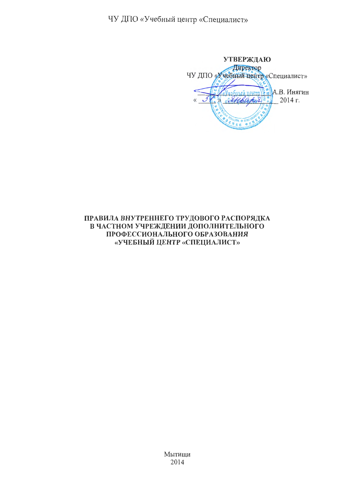ЧУ ДПО «Учебный центр «Специалист»

**УТВЕРЖДАЮ** Директор ЧУ ДПО «Учебный центр «Специалист» ный пентр $\mathbb{E}$  А.В. Инягин "Exploration 2" 2014 г.  $\overline{\mathcal{U}}$  $\overline{a}$ 

# ПРАВИЛА ВНУТРЕННЕГО ТРУДОВОГО РАСПОРЯДКА В ЧАСТНОМ УЧРЕЖДЕНИИ ДОПОЛНИТЕЛЬНОГО ПРОФЕССИОНАЛЬНОГО ОБРАЗОВАНИЯ «УЧЕБНЫЙ ЦЕНТР «СПЕЦИАЛИСТ»

Мытищи 2014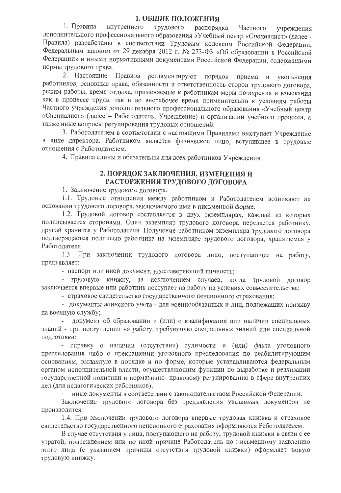## 1. ОБЩИЕ ПОЛОЖЕНИЯ

1. Правила внутреннего трудового распорядка Частного учреждения дополнительного профессионального образования «Учебный центр «Специалист» (далее -Правила) разработаны в соответствии Трудовым кодексом Российской Федерации, Федеральным законом от 29 декабря 2012 г. № 273-ФЗ «Об образовании в Российской Федерации» и иными нормативными документами Российской Федерации, содержащими нормы трудового права.

2. Настоящие Правила регламентируют порядок приема и увольнения работников, основные права, обязанности и ответственность сторон трудового договора, режим работы, время отдыха, применяемые к работникам меры поощрения и взыскания как в процессе труда, так и во внерабочее время применительно к условиям работы Частного учреждения дополнительного профессионального образования «Учебный центр «Специалист» (далее - Работодатель, Учреждение) и организации учебного процесса, а также иные вопросы регулирования трудовых отношений.

3. Работодателем в соответствии с настоящими Правилами выступает Учреждение в лице директора. Работником является физическое лицо, вступившее в трудовые отношения с Работодателем.

4. Правила едины и обязательны для всех работников Учреждения.

## 2. ПОРЯДОК ЗАКЛЮЧЕНИЯ, ИЗМЕНЕНИЯ И РАСТОРЖЕНИЯ ТРУДОВОГО ДОГОВОРА

1. Заключение трудового договора.

1.1. Трудовые отношения между работником и Работодателем возникают на основании трудового договора, заключаемого ими в письменной форме.

1.2. Трудовой договор составляется в двух экземплярах, каждый из которых подписывается сторонами. Один экземпляр трудового договора передается работнику, другой хранится у Работодателя. Получение работником экземпляра трудового договора подтверждается подписью работника на экземпляре трудового договора, хранящемся у Работодателя.

1.3. При заключении трудового договора лицо, поступающее на работу, предъявляет:

- паспорт или иной документ, удостоверяющий личность;

- трудовую книжку, за исключением случаев, когда трудовой договор заключается впервые или работник поступает на работу на условиях совместительства;

- страховое свидетельство государственного пенсионного страхования;

- документы воинского учета - для военнообязанных и лиц. подлежащих призыву на военную службу;

документ об образовании и (или) о квалификации или наличии специальных знаний - при поступлении на работу, требующую специальных знаний или специальной подготовки;

- справку о наличии (отсутствии) судимости и (или) факта уголовного преследования либо о прекращении уголовного преследования по реабилитирующим основаниям, выданную в порядке и по форме, которые устанавливаются федеральным органом исполнительной власти, осуществляющим функции по выработке и реализации государственной политики и нормативно- правовому регулированию в сфере внутренних дел (для педагогических работников);

иные документы в соответствии с законодательством Российской Федерации.

Заключение трудового договора без предъявления указанных документов не производится.

1.4. При заключении трудового договора впервые трудовая книжка и страховое свидетельство государственного пенсионного страхования оформляются Работодателем.

В случае отсутствия у лица, поступающего на работу, трудовой книжки в связи с ее утратой, повреждением или по иной причине Работодатель по письменному заявлению этого лица (с указанием причины отсутствия трудовой книжки) оформляет новую трудовую книжку.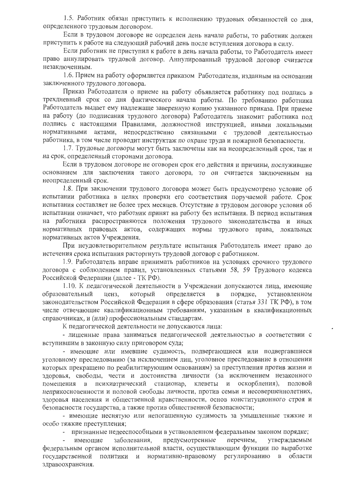1.5. Работник обязан приступить к исполнению трудовых обязанностей со дня, определенного трудовым договором.

Если в трудовом договоре не определен день начала работы, то работник должен приступить к работе на следующий рабочий день после вступления договора в силу.

Если работник не приступил к работе в день начала работы, то Работодатель имеет право аннулировать трудовой договор. Аннулированный трудовой договор считается незаключенным.

1.6. Прием на работу оформляется приказом Работодателя, изданным на основании заключенного трудового договора.

Приказ Работодателя о приеме на работу объявляется работнику под подпись в трехдневный срок со дня фактического начала работы. По требованию работника Работодатель выдает ему надлежаще заверенную копию указанного приказа. При приеме на работу (до подписания трудового договора) Работодатель знакомит работника под подпись с настоящими Правилами, должностной инструкцией, иными локальными нормативными актами, непосредственно связанными с трудовой деятельностью работника, в том числе проводит инструктаж по охране труда и пожарной безопасности.

1.7. Трудовые договоры могут быть заключены как на неопределенный срок, так и на срок, определенный сторонами договора.

Если в трудовом договоре не оговорен срок его действия и причины, послужившие основанием для заключения такого договора, то он считается заключенным на неопределенный срок.

1.8. При заключении трудового договора может быть предусмотрено условие об испытании работника в целях проверки его соответствия поручаемой работе. Срок испытания составляет не более трех месяцев. Отсутствие в трудовом договоре условия об испытании означает, что работник принят на работу без испытания. В период испытания на работника распространяются положения трудового законодательства и иных нормативных правовых актов, содержащих нормы трудового права, локальных нормативных актов Учреждения.

При неудовлетворительном результате испытания Работодатель имеет право до истечения срока испытания расторгнуть трудовой договор с работником.

1.9. Работодатель вправе принимать работников на условиях срочного трудового договора с соблюдением правил, установленных статьями 58, 59 Трудового кодекса Российской Федерации (далее - ТК РФ).

1.10. К педагогической деятельности в Учреждении допускаются лица, имеющие образовательный ценз, который определяется  $\mathbf B$ порядке, установленном законодательством Российской Федерации в сфере образования (статья 331 ТК РФ), в том числе отвечающие квалификационным требованиям, указанным в квалификационных справочниках, и (или) профессиональным стандартам.

К педагогической деятельности не допускаются лица:

- лишенные права заниматься педагогической деятельностью в соответствии с вступившим в законную силу приговором суда;

- имеющие или имевшие судимость, подвергающиеся или подвергавшиеся уголовному преследованию (за исключением лиц, уголовное преследование в отношении которых прекращено по реабилитирующим основаниям) за преступления против жизни и здоровья, свободы, чести и достоинства личности (за исключением незаконного помещения в психиатрический стационар, клеветы и оскорбления), половой неприкосновенности и половой свободы личности, против семьи и несовершеннолетних, здоровья населения и общественной нравственности, основ конституционного строя и безопасности государства, а также против общественной безопасности;

- имеющие неснятую или непогашенную судимость за умышленные тяжкие и особо тяжкие преступления:

- признанные недееспособными в установленном федеральным законом порядке;

перечнем, утверждаемым заболевания, предусмотренные имеющие федеральным органом исполнительной власти, осуществляющим функции по выработке политики и нормативно-правовому государственной регулированию в области здравоохранения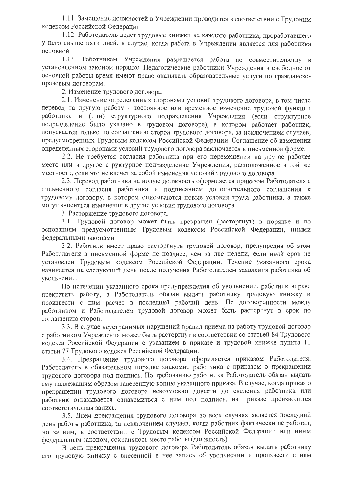1.11. Замещение должностей в Учреждении проводится в соответствии с Трудовым кодексом Российской Федерации.

1.12. Работодатель ведет трудовые книжки на каждого работника, проработавшего у него свыше пяти дней, в случае, когда работа в Учреждении является для работника основной.

1.13. Работникам Учреждения разрешается работа по совместительству в установленном законом порядке. Педагогические работники Учреждения в свободное от основной работы время имеют право оказывать образовательные услуги по гражданскоправовым договорам.

2. Изменение трудового договора.

2.1. Изменение определенных сторонами условий трудового договора, в том числе перевод на другую работу - постоянное или временное изменение трудовой функции работника и (или) структурного подразделения Учреждения (если структурное подразделение было указано в трудовом договоре), в котором работает работник, допускается только по соглашению сторон трудового договора, за исключением случаев, предусмотренных Трудовым кодексом Российской Федерации. Соглашение об изменении определенных сторонами условий трудового договора заключается в письменной форме.

2.2. Не требуется согласия работника при его перемещении на другое рабочее место или в другое структурное подразделение Учреждения, расположенное в той же местности, если это не влечет за собой изменения условий трудового договора.

2.3. Перевод работника на новую должность оформляется приказом Работодателя с письменного согласия работника и подписанием дополнительного соглашения к трудовому договору, в котором описываются новые условия труда работника, а также могут вноситься изменения в другие условия трудового договора.

3. Расторжение трудового договора.

3.1. Трудовой договор может быть прекращен (расторгнут) в порядке и по основаниям предусмотренным Трудовым кодексом Российской Федерации, иными федеральными законами.

3.2. Работник имеет право расторгнуть трудовой договор, предупредив об этом Работодателя в письменной форме не позднее, чем за две недели, если иной срок не установлен Трудовым кодексом Российской Федерации. Течение указанного срока начинается на следующий день после получения Работодателем заявления работника об увольнении.

По истечении указанного срока предупреждения об увольнении, работник вправе прекратить работу, а Работодатель обязан выдать работнику трудовую книжку и произвести с ним расчет в последний рабочий день. По договоренности между работником и Работолателем трудовой договор может быть расторгнут в срок по соглашению сторон.

3.3. В случае неустранимых нарушений правил приема на работу трудовой договор с работником Учреждения может быть расторгнут в соответствии со статьей 84 Трудового кодекса Российской Федерации с указанием в приказе и трудовой книжке пункта 11 статьи 77 Трудового кодекса Российской Федерации.

3.4. Прекращение трудового договора оформляется приказом Работодателя. Работодатель в обязательном порядке знакомит работника с приказом о прекращении трудового договора под подпись. По требованию работника Работодатель обязан выдать ему надлежащим образом заверенную копию указанного приказа. В случае, когда приказ о прекращении трудового договора невозможно довести до сведения работника или работник отказывается ознакомиться с ним под подпись, на приказе производится соответствующая запись.

3.5. Лнем прекращения трудового договора во всех случаях является последний день работы работника, за исключением случаев, когда работник фактически не работал, но за ним, в соответствии с Трудовым кодексом Российской Федерации или иным федеральным законом, сохранялось место работы (должность).

В день прекращения трудового договора Работодатель обязан выдать работнику его трудовую книжку с внесенной в нее запись об увольнении и произвести с ним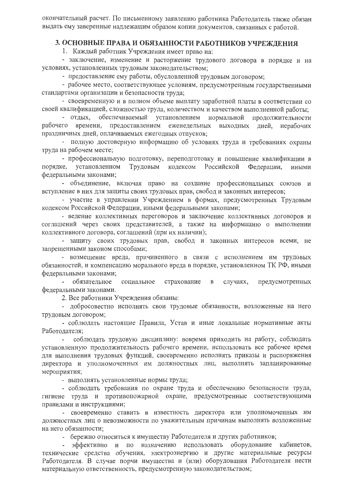окончательный расчет. По письменному заявлению работника Работодатель также обязан выдать ему заверенные надлежащим образом копии документов, связанных с работой.

# 3. ОСНОВНЫЕ ПРАВА И ОБЯЗАННОСТИ РАБОТНИКОВ УЧРЕЖДЕНИЯ

1. Каждый работник Учреждения имеет право на:

- заключение, изменение и расторжение трудового договора в порядке и на условиях, установленных трудовым законодательством;

- предоставление ему работы, обусловленной трудовым договором;

- рабочее место, соответствующее условиям, предусмотренным государственными стандартами организации и безопасности труда:

- своевременную и в полном объеме выплату заработной платы в соответствии со своей квалификацией, сложностью труда, количеством и качеством выполненной работы;

- отдых, обеспечиваемый установлением нормальной прололжительности рабочего времени, предоставлением еженедельных выходных дней, нерабочих праздничных дней, оплачиваемых ежегодных отпусков;

- полную достоверную информацию об условиях труда и требованиях охраны труда на рабочем месте;

- профессиональную подготовку, переподготовку и повышение квалификации в порядке, установленном Трудовым кодексом Российской Федерации, иными федеральными законами;

- объединение, включая право на создание профессиональных союзов и вступление в них для защиты своих трудовых прав, свобод и законных интересов;

- участие в управлении Учреждением в формах, предусмотренных Трудовым кодексом Российской Федерации, иными федеральными законами;

- ведение коллективных переговоров и заключение коллективных договоров и соглашений через своих представителей, а также на информацию о выполнении коллективного договора, соглашений (при их наличии);

- защиту своих трудовых прав, свобод и законных интересов всеми, не запрещенными законом способами;

- возмещение вреда, причиненного в связи с исполнением им трудовых обязанностей, и компенсацию морального вреда в порядке, установленном ТК РФ, иными федеральными законами;

предусмотренных - обязательное социальное страхование случаях,  $\mathbf{B}$ федеральными законами.

2. Все работники Учреждения обязаны:

- добросовестно исполнять свои трудовые обязанности, возложенные на него трудовым договором;

- соблюдать настоящие Правила, Устав и иные локальные нормативные акты Работолателя:

соблюдать трудовую дисциплину: вовремя приходить на работу, соблюдать установленную продолжительность рабочего времени, использовать все рабочее время для выполнения трудовых функций, своевременно исполнять приказы и распоряжения директора и уполномоченных им должностных лиц, выполнять запланированные мероприятия;

- выполнять установленные нормы труда;

- соблюдать требования по охране труда и обеспечению безопасности труда, гигиене труда и противопожарной охране, предусмотренные соответствующими правилами и инструкциями;

- своевременно ставить в известность директора или уполномоченных им должностных лиц о невозможности по уважительным причинам выполнять возложенные на него обязанности;

- бережно относиться к имуществу Работодателя и других работников;

эффективно и по назначению использовать оборудование кабинетов, технические средства обучения, электроэнергию и другие материальные ресурсы Работодателя. В случае порчи имущества и (или) оборудования Работодателя нести материальную ответственность, предусмотренную законодательством;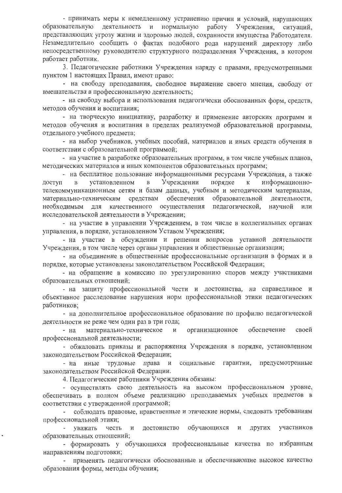- принимать меры к немедленному устранению причин и условий, нарушающих образовательную леятельность и нормальную работу Учреждения, ситуаций. представляющих угрозу жизни и здоровью людей, сохранности имущества Работодателя. Незамедлительно сообщить о фактах подобного рода нарушений директору либо непосредственному руководителю структурного подразделения Учреждения, в котором работает работник.

3. Педагогические работники Учреждения наряду с правами, предусмотренными пунктом 1 настоящих Правил, имеют право:

- на свободу преподавания, свободное выражение своего мнения, свободу от вмешательства в профессиональную деятельность;

- на свободу выбора и использования педагогически обоснованных форм, средств, методов обучения и воспитания;

- на творческую инициативу, разработку и применение авторских программ и методов обучения и воспитания в пределах реализуемой образовательной программы, отдельного учебного предмета;

- на выбор учебников, учебных пособий, материалов и иных средств обучения в соответствии с образовательной программой;

- на участие в разработке образовательных программ, в том числе учебных планов, методических материалов и иных компонентов образовательных программ;

- на бесплатное пользование информационными ресурсами Учреждения, а также установленном  $\mathbf{B}$ Учреждении порядке  $\mathbf K$ информационно- $\overline{B}$ лоступ телекоммуникационным сетям и базам данных, учебным и методическим материалам, материально-техническим средствам обеспечения образовательной деятельности, необходимым для качественного осуществления педагогической, научной или исследовательской деятельности в Учреждении;

- на участие в управлении Учреждением, в том числе в коллегиальных органах управления, в порядке, установленном Уставом Учреждения;

- на участие в обсуждении и решении вопросов уставной деятельности Учреждения, в том числе через органы управления и общественные организации;

- на объединение в общественные профессиональные организации в формах и в порядке, которые установлены законодательством Российской Федерации;

- на обращение в комиссию по урегулированию споров между участниками образовательных отношений;

- на защиту профессиональной чести и достоинства, на справедливое и объективное расследование нарушения норм профессиональной этики педагогических работников;

- на дополнительное профессиональное образование по профилю педагогической деятельности не реже чем один раз в три года;

обеспечение материально-техническое организационное своей - на профессиональной деятельности;

- обжаловать приказы и распоряжения Учреждения в порядке, установленном законодательством Российской Федерации;

социальные гарантии, предусмотренные - на иные трудовые права и законодательством Российской Федерации.

4. Педагогические работники Учреждения обязаны:

- осуществлять свою деятельность на высоком профессиональном уровне, обеспечивать в полном объеме реализацию преподаваемых учебных предметов в соответствии с утвержденной программой;

соблюдать правовые, нравственные и этические нормы, следовать требованиям профессиональной этики;

обучающихся участников уважать честь  $\,$   $\,$   $\,$   $\,$ достоинство  $\mathbf{H}$ других образовательных отношений;

- формировать у обучающихся профессиональные качества по избранным направлениям подготовки;

применять педагогически обоснованные и обеспечивающие высокое качество образования формы, методы обучения;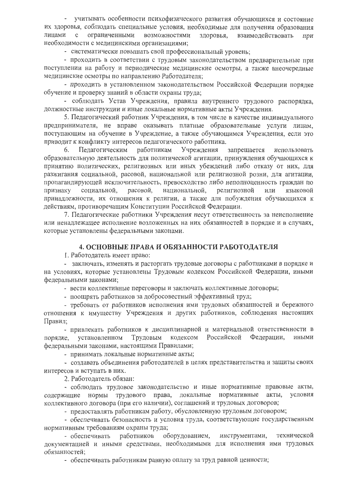- учитывать особенности психофизического развития обучающихся и состояние их здоровья, соблюдать специальные условия, необходимые для получения образования линами с ограниченными возможностями здоровья, взаимолействовать при необходимости с медицинскими организациями;

- систематически повышать свой профессиональный уровень;

- проходить в соответствии с трудовым законодательством предварительные при поступлении на работу и периодические медицинские осмотры, а также внеочередные медицинские осмотры по направлению Работодателя;

- проходить в установленном законодательством Российской Федерации порялке обучение и проверку знаний в области охраны труда;

- соблюдать Устав Учреждения, правила внутреннего трудового распорядка, должностные инструкции и иные локальные нормативные акты Учреждения.

5. Педагогический работник Учреждения, в том числе в качестве индивидуального предпринимателя, не вправе оказывать платные образовательные услуги лицам, поступающим на обучение в Учреждение, а также обучающимся Учреждения, если это приводит к конфликту интересов педагогического работника.

Педагогическим работникам 6. Учреждения запрешается использовать образовательную деятельность для политической агитации, принуждения обучающихся к принятию политических, религиозных или иных убеждений либо отказу от них, для разжигания социальной, расовой, национальной или религиозной розни, для агитации, пропагандирующей исключительность, превосходство либо неполноценность граждан по признаку социальной, расовой, национальной, религиозной или языковой принадлежности, их отношения к религии, а также для побуждения обучающихся к действиям, противоречащим Конституции Российской Федерации.

7. Педагогические работники Учреждения несут ответственность за неисполнение или ненадлежащее исполнение возложенных на них обязанностей в порядке и в случаях, которые установлены федеральными законами.

### 4. ОСНОВНЫЕ ПРАВА И ОБЯЗАННОСТИ РАБОТОДАТЕЛЯ

1. Работодатель имеет право:

- заключать, изменять и расторгать трудовые договоры с работниками в порядке и на условиях, которые установлены Трудовым кодексом Российской Федерации, иными федеральными законами;

- вести коллективные переговоры и заключать коллективные договоры;

- поощрять работников за добросовестный эффективный труд;

- требовать от работников исполнения ими трудовых обязанностей и бережного отношения к имуществу Учреждения и других работников, соблюдения настоящих Правил;

- привлекать работников к дисциплинарной и материальной ответственности в порядке, установленном Трудовым кодексом Российской Федерации, иными федеральными законами, настоящими Правилами;

- принимать локальные нормативные акты;

- создавать объединения работодателей в целях представительства и защиты своих интересов и вступать в них.

2. Работодатель обязан:

- соблюдать трудовое законодательство и иные нормативные правовые акты, содержащие нормы трудового права, локальные нормативные акты, условия коллективного договора (при его наличии), соглашений и трудовых договоров;

- предоставлять работникам работу, обусловленную трудовым договором;

- обеспечивать безопасность и условия труда, соответствующие государственным нормативным требованиям охраны труда;

оборудованием, инструментами, технической - обеспечивать работников документацией и иными средствами, необходимыми для исполнения ими трудовых обязанностей;

- обеспечивать работникам равную оплату за труд равной ценности;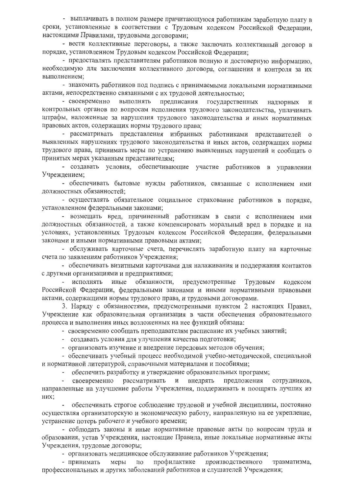- выплачивать в полном размере причитающуюся работникам заработную плату в сроки, установленные в соответствии с Трудовым кодексом Российской Федерации. настоящими Правилами, трудовыми договорами;

- вести коллективные переговоры, а также заключать коллективный договор в порядке, установленном Трудовым кодексом Российской Федерации;

- предоставлять представителям работников полную и достоверную информацию, необходимую для заключения коллективного договора, соглашения и контроля за их выполнением:

- знакомить работников под подпись с принимаемыми локальными нормативными актами, непосредственно связанными с их трудовой деятельностью;

- своевременно выполнять предписания государственных надзорных  $\overline{\mathbf{H}}$ контрольных органов по вопросам исполнения трудового законодательства, уплачивать штрафы, наложенные за нарушения трудового законодательства и иных нормативных правовых актов, содержащих нормы трудового права;

- рассматривать представления избранных работниками представителей о выявленных нарушениях трудового законодательства и иных актов, содержащих нормы трудового права, принимать меры по устранению выявленных нарушений и сообщать о принятых мерах указанным представителям;

- создавать условия, обеспечивающие участие работников в управлении Учреждением;

- обеспечивать бытовые нужды работников, связанные с исполнением ими должностных обязанностей;

- осуществлять обязательное социальное страхование работников в порядке, установленном федеральными законами;

- возмещать вред, причиненный работникам в связи с исполнением ими должностных обязанностей, а также компенсировать моральный вред в порядке и на условиях, установленных Трудовым кодексом Российской Федерации, федеральными законами и иными нормативными правовыми актами;

- обслуживать карточные счета, перечислять заработную плату на карточные счета по заявлениям работников Учреждения;

- обеспечивать визитными карточками для налаживания и поддержания контактов с другими организациями и предприятиями;

иные обязанности, предусмотренные Трудовым - исполнять кодексом Российской Федерации, федеральными законами и иными нормативными правовыми актами, содержащими нормы трудового права, и трудовыми договорами.

3. Наряду с обязанностями, предусмотренными пунктом 2 настоящих Правил, Учреждение как образовательная организация в части обеспечения образовательного процесса и выполнения иных возложенных на нее функций обязана:

- своевременно сообщать преподавателям расписание их учебных занятий;

- создавать условия для улучшения качества подготовки;

- организовать изучение и внедрение передовых методов обучения;

- обеспечивать учебный процесс необходимой учебно-методической, специальной и нормативной литературой, справочными материалами и пособиями;

обеспечить разработку и утверждение образовательных программ;

своевременно внедрять предложения рассматривать  $\, {\rm N}$ сотрудников, направленные на улучшение работы Учреждения, поддерживать и поощрять лучших из них;

обеспечивать строгое соблюдение трудовой и учебной дисциплины, постоянно осуществляя организаторскую и экономическую работу, направленную на ее укрепление, устранение потерь рабочего и учебного времени;

- соблюдать законы и иные нормативные правовые акты по вопросам труда и образования, устав Учреждения, настоящие Правила, иные локальные нормативные акты Учреждения, трудовые договоры;

- организовать медицинское обслуживание работников Учреждения;

профилактике производственного травматизма, - принимать меры  $\Pi$ O профессиональных и других заболеваний работников и слушателей Учреждения;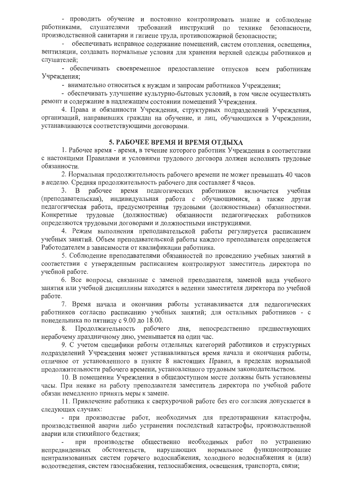- проводить обучение и постоянно контролировать знание и соблюдение работниками, слушателями требований инструкций по технике безопасности, производственной санитарии и гигиене труда, противопожарной безопасности;

обеспечивать исправное содержание помещений, систем отопления, освещения, вентиляции, создавать нормальные условия для хранения верхней одежды работников и слушателей;

- обеспечивать своевременное предоставление отпусков всем работникам Учреждения;

- внимательно относиться к нуждам и запросам работников Учреждения;

- обеспечивать улучшение культурно-бытовых условий, в том числе осуществлять ремонт и содержание в надлежащем состоянии помещений Учреждения.

4. Права и обязанности Учреждения, структурных подразделений Учреждения, организаций, направивших граждан на обучение, и лиц, обучающихся в Учреждении, устанавливаются соответствующими договорами.

### 5. РАБОЧЕЕ ВРЕМЯ И ВРЕМЯ ОТДЫХА

1. Рабочее время - время, в течение которого работник Учреждения в соответствии с настоящими Правилами и условиями трудового договора должен исполнять трудовые обязанности.

2. Нормальная продолжительность рабочего времени не может превышать 40 часов в неделю. Средняя продолжительность рабочего дня составляет 8 часов.

рабочее 3. B время педагогических работников включается учебная (преподавательская), индивидуальная работа с обучающимися, а также другая педагогическая работа, предусмотренная трудовыми (должностными) обязанностями. Конкретные трудовые (должностные) обязанности педагогических работников определяются трудовыми договорами и должностными инструкциями.

4. Режим выполнения преподавательской работы регулируется расписанием учебных занятий. Объем преподавательской работы каждого преподавателя определяется Работодателем в зависимости от квалификации работника.

5. Соблюдение преподавателями обязанностей по проведению учебных занятий в соответствии с утвержденным расписанием контролируют заместитель директора по учебной работе.

6. Все вопросы, связанные с заменой преподавателя, заменой вида учебного занятия или учебной дисциплины находятся в ведении заместителя директора по учебной работе.

7. Время начала и окончания работы устанавливается для педагогических работников согласно расписанию учебных занятий; для остальных работников - с понедельника по пятницу с 9.00 до 18.00.

Продолжительность рабочего дня, непосредственно предшествующих 8. нерабочему праздничному дню, уменьшается на один час.

9. С учетом специфики работы отдельных категорий работников и структурных подразделений Учреждения может устанавливаться время начала и окончания работы, отличное от установленного в пункте 8 настоящих Правил, в пределах нормальной продолжительности рабочего времени, установленного трудовым законодательством.

10. В помещении Учреждения в общедоступном месте должны быть установлены часы. При неявке на работу преподавателя заместитель директора по учебной работе обязан немедленно принять меры к замене.

11. Привлечение работника к сверхурочной работе без его согласия допускается в следующих случаях:

- при производстве работ, необходимых для предотвращения катастрофы, производственной аварии либо устранения последствий катастрофы, производственной аварии или стихийного бедствия;

при производстве общественно необходимых работ по устранению непредвиденных обстоятельств, нарушающих нормальное функционирование централизованных систем горячего водоснабжения, холодного водоснабжения и (или) водоотведения, систем газоснабжения, теплоснабжения, освещения, транспорта, связи;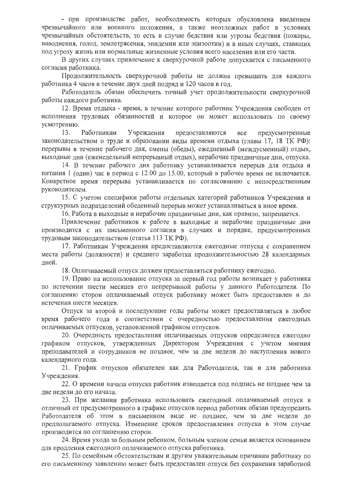- при производстве работ, необходимость которых обусловлена введением чрезвычайного или военного положения, а также неотложных работ в условиях чрезвычайных обстоятельств, то есть в случае бедствия или угрозы бедствия (пожары, наводнения, голод, землетрясения, эпидемии или эпизоотии) и в иных случаях, ставящих под угрозу жизнь или нормальные жизненные условия всего населения или его части.

В других случаях привлечение к сверхурочной работе допускается с письменного согласия работника.

Продолжительность сверхурочной работы не должна превышать для каждого работника 4 часов в течение двух дней подряд и 120 часов в год.

Работодатель обязан обеспечить точный учет продолжительности сверхурочной работы каждого работника.

12. Время отдыха - время, в течение которого работник Учреждения свободен от исполнения трудовых обязанностей и которое он может использовать по своему усмотрению.

13. Работникам Учреждения предоставляются **BCC** предусмотренные законодательством о труде и образовании виды времени отдыха (главы 17, 18 ТК РФ): перерывы в течение рабочего дня, смены (обеды), ежедневный (междусменный) отдых, выходные дни (еженедельный непрерывный отдых), нерабочие праздничные дни, отпуска.

14. В течение рабочего дня работнику устанавливается перерыв для отдыха и питания 1 (один) час в период с 12.00 до 15.00, который в рабочее время не включается. Конкретное время перерыва устанавливается по согласованию с непосредственным руководителем.

15. С учетом специфики работы отдельных категорий работников Учреждения и структурных подразделений обеденный перерыв может устанавливаться в иное время.

16. Работа в выходные и нерабочие праздничные дни, как правило, запрещается.

Привлечение работников к работе в выходные и нерабочие праздничные дни производится с их письменного согласия в случаях и порядке, предусмотренных трудовым законодательством (статья 113 ТК РФ).

17. Работникам Учреждения предоставляются ежегодные отпуска с сохранением места работы (должности) и среднего заработка продолжительностью 28 календарных дней.

18. Оплачиваемый отпуск должен предоставляться работнику ежегодно.

19. Право на использование отпуска за первый год работы возникает у работника по истечении шести месяцев его непрерывной работы у данного Работодателя. По соглашению сторон оплачиваемый отпуск работнику может быть предоставлен и до истечения шести месяцев.

Отпуск за второй и последующие годы работы может предоставляться в любое время рабочего года в соответствии с очередностью предоставления ежегодных оплачиваемых отпусков, установленной графиком отпусков.

20. Очередность предоставления оплачиваемых отпусков определяется ежегодно графиком отпусков, утвержденных Директором Учреждения с учетом мнения преподавателей и сотрудников не позднее, чем за две недели до наступления нового календарного года.

21. График отпусков обязателен как для Работодателя, так и для работника Учреждения.

22. О времени начала отпуска работник извещается под подпись не позднее чем за две недели до его начала.

23. При желании работника использовать ежегодный оплачиваемый отпуск в отличный от предусмотренного в графике отпусков период работник обязан предупредить Работодателя об этом в письменном виде не позднее, чем за две недели до предполагаемого отпуска. Изменение сроков предоставления отпуска в этом случае производится по соглашению сторон.

24. Время ухода за больным ребенком, больным членом семьи является основанием для продления ежегодного оплачиваемого отпуска работника.

25. По семейным обстоятельствам и другим уважительным причинам работнику по его письменному заявлению может быть предоставлен отпуск без сохранения заработной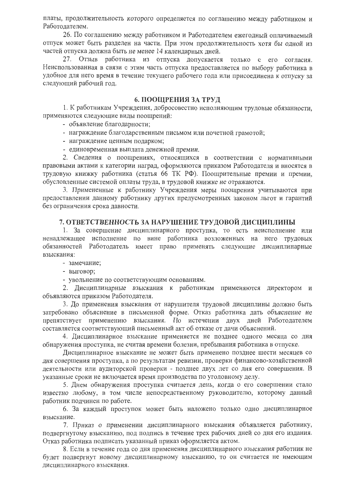платы, продолжительность которого определяется по соглашению между работником и Работолателем.

26. По соглашению между работником и Работодателем ежегодный оплачиваемый отпуск может быть разделен на части. При этом продолжительность хотя бы одной из частей отпуска должна быть не менее 14 календарных дней.

27. Отзыв работника из отпуска допускается только с его согласия. Неиспользованная в связи с этим часть отпуска предоставляется по выбору работника в удобное для него время в течение текущего рабочего года или присоединена к отпуску за следующий рабочий год.

#### 6. ПООЩРЕНИЯ ЗА ТРУД

1. К работникам Учреждения, добросовестно исполняющим трудовые обязанности, применяются следующие виды поощрений:

- объявление благодарности;

- награждение благодарственным письмом или почетной грамотой;
- награждение ценным подарком;
- единовременная выплата денежной премии.

2. Сведения о поощрениях, относящихся в соответствии с нормативными правовыми актами к категории наград, оформляются приказом Работодателя и вносятся в трудовую книжку работника (статья 66 ТК РФ). Поощрительные премии и премии, обусловленные системой оплаты труда, в трудовой книжке не отражаются.

3. Примененные к работнику Учреждения меры поощрения учитываются при предоставлении данному работнику других предусмотренных законом льгот и гарантий без ограничения срока давности.

#### 7. ОТВЕТСТВЕННОСТЬ ЗА НАРУШЕНИЕ ТРУДОВОЙ ДИСЦИПЛИНЫ

1. За совершение дисциплинарного проступка, то есть неисполнение или ненадлежащее исполнение по вине работника возложенных на него трудовых обязанностей Работодатель имеет право применять следующие дисциплинарные взыскания:

- замечание;

- выговор;

- увольнение по соответствующим основаниям.

2. Дисциплинарные взыскания к работникам применяются директором и объявляются приказом Работодателя.

3. До применения взыскания от нарушителя трудовой дисциплины должно быть затребовано объяснение в письменной форме. Отказ работника дать объяснение не препятствует применению взыскания. По истечении двух дней Работодателем составляется соответствующий письменный акт об отказе от дачи объяснений.

4. Дисциплинарное взыскание применяется не позднее одного месяца со дня обнаружения проступка, не считая времени болезни, пребывания работника в отпуске.

Дисциплинарное взыскание не может быть применено позднее шести месяцев со дня совершения проступка, а по результатам ревизии, проверки финансово-хозяйственной деятельности или аудиторской проверки - позднее двух лет со дня его совершения. В указанные сроки не включается время производства по уголовному делу.

5. Днем обнаружения проступка считается день, когда о его совершении стало известно любому, в том числе непосредственному руководителю, которому данный работник подчинен по работе.

6. За каждый проступок может быть наложено только одно дисциплинарное взыскание.

7. Приказ о применении дисциплинарного взыскания объявляется работнику, подвергнутому взысканию, под подпись в течение трех рабочих дней со дня его издания. Отказ работника подписать указанный приказ оформляется актом.

8. Если в течение года со дня применения дисциплинарного взыскания работник не будет подвергнут новому дисциплинарному взысканию, то он считается не имеющим дисциплинарного взыскания.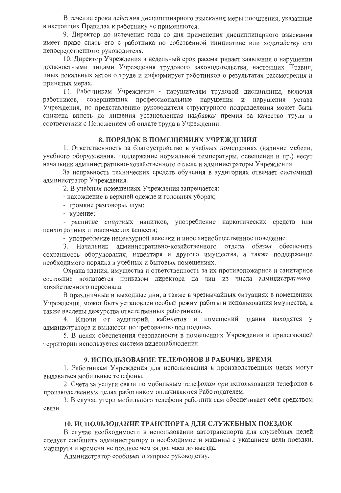В течение срока действия дисциплинарного взыскания меры поощрения, указанные в настоящих Правилах к работнику не применяются.

9. Директор до истечения года со дня применения дисциплинарного взыскания имеет право снять его с работника по собственной инициативе или ходатайству его непосредственного руководителя.

10. Директор Учреждения в недельный срок рассматривает заявления о нарушении должностными лицами Учреждения трудового законодательства, настоящих Правил, иных локальных актов о труде и информирует работников о результатах рассмотрения и принятых мерах.

11. Работникам Учреждения - нарушителям трудовой дисциплины, включая совершивших профессиональные нарушения и нарушения устава работников, Учреждения, по представлению руководителя структурного подразделения может быть снижена вплоть до лишения установленная надбавка/ премия за качество труда в соответствии с Положением об оплате труда в Учреждении.

#### 8. ПОРЯДОК В ПОМЕЩЕНИЯХ УЧРЕЖДЕНИЯ

1. Ответственность за благоустройство в учебных помещениях (наличие мебели, учебного оборудования, поддержание нормальной температуры, освещения и пр.) несут начальник административно-хозяйственного отдела и администраторы Учреждения.

За исправность технических средств обучения в аудиториях отвечает системный администратор Учреждения.

2. В учебных помещениях Учреждения запрещается:

- нахождение в верхней одежде и головных уборах;

- громкие разговоры, шум;

- курение;

- распитие спиртных напитков, употребление наркотических средств или психотропных и токсических веществ;

- употребление нецензурной лексики и иное антиобщественное поведение.

Начальник административно-хозяйственного отдела обязан обеспечить  $3.$ сохранность оборудования, инвентаря и другого имущества, а также поддержание необходимого порядка в учебных и бытовых помещениях.

Охрана здания, имущества и ответственность за их противопожарное и санитарное состояние возлагается приказом директора на лиц из числа административнохозяйственного персонала.

В праздничные и выходные дни, а также в чрезвычайных ситуациях в помещениях Учреждения, может быть установлен особый режим работы и использования имущества, а также введены дежурства ответственных работников.

4. Ключи от аудиторий, кабинетов и помещений здания находятся у администратора и выдаются по требованию под подпись.

5. В целях обеспечения безопасности в помещениях Учреждения и прилегающей территории используется система видеонаблюдения.

#### 9. ИСПОЛЬЗОВАНИЕ ТЕЛЕФОНОВ В РАБОЧЕЕ ВРЕМЯ

1. Работникам Учреждения для использования в производственных целях могут выдаваться мобильные телефоны.

2. Счета за услуги связи по мобильным телефонам при использовании телефонов в производственных целях работником оплачиваются Работодателем.

3. В случае утери мобильного телефона работник сам обеспечивает себя средством связи

# 10. ИСПОЛЬЗОВАНИЕ ТРАНСПОРТА ДЛЯ СЛУЖЕБНЫХ ПОЕЗДОК

В случае необходимости в использовании автотранспорта для служебных целей следует сообщить администратору о необходимости машины с указанием цели поездки, маршрута и времени не позднее чем за два часа до выезда.

Администратор сообщает о запросе руководству.